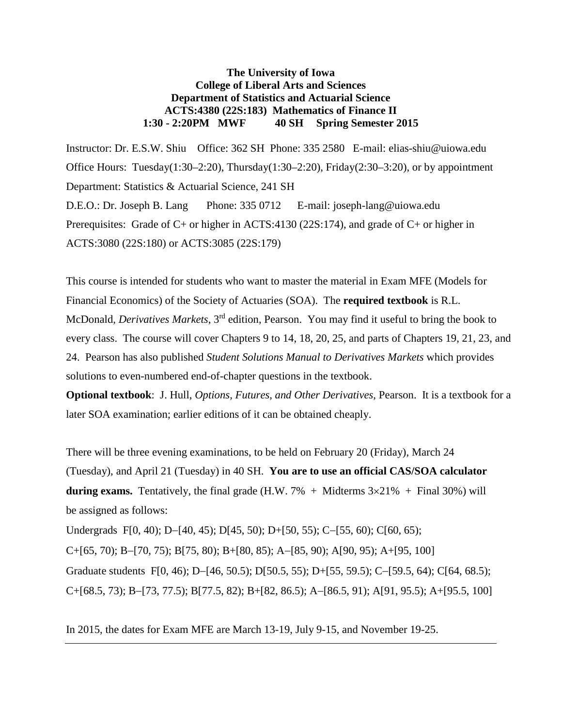# **The University of Iowa College of Liberal Arts and Sciences Department of Statistics and Actuarial Science ACTS:4380 (22S:183) Mathematics of Finance II 1:30 - 2:20PM MWF 40 SH Spring Semester 2015**

Instructor: Dr. E.S.W. Shiu Office: 362 SH Phone: 335 2580 E-mail: elias-shiu@uiowa.edu Office Hours: Tuesday(1:30–2:20), Thursday(1:30–2:20), Friday(2:30–3:20), or by appointment Department: Statistics & Actuarial Science, 241 SH D.E.O.: Dr. Joseph B. Lang Phone: 335 0712 E-mail: joseph-lang@uiowa.edu Prerequisites: Grade of C+ or higher in ACTS:4130 (22S:174), and grade of C+ or higher in ACTS:3080 (22S:180) or ACTS:3085 (22S:179)

This course is intended for students who want to master the material in Exam MFE (Models for Financial Economics) of the Society of Actuaries (SOA). The **required textbook** is R.L. McDonald, *Derivatives Markets*, 3rd edition, Pearson. You may find it useful to bring the book to every class. The course will cover Chapters 9 to 14, 18, 20, 25, and parts of Chapters 19, 21, 23, and 24. Pearson has also published *Student Solutions Manual to Derivatives Markets* which provides solutions to even-numbered end-of-chapter questions in the textbook.

**Optional textbook**:J. Hull, *Options, Futures, and Other Derivatives*, Pearson. It is a textbook for a later SOA examination; earlier editions of it can be obtained cheaply.

There will be three evening examinations, to be held on February 20 (Friday), March 24 (Tuesday), and April 21 (Tuesday) in 40 SH. **You are to use an official CAS/SOA calculator during exams.** Tentatively, the final grade  $(H.W. 7\% + Midterms 3 \times 21\% + Final 30\%)$  will be assigned as follows:

Undergrads F[0, 40); D−[40, 45); D[45, 50); D+[50, 55); C−[55, 60); C[60, 65); C+[65, 70); B−[70, 75); B[75, 80); B+[80, 85); A−[85, 90); A[90, 95); A+[95, 100] Graduate students F[0, 46); D−[46, 50.5); D[50.5, 55); D+[55, 59.5); C−[59.5, 64); C[64, 68.5); C+[68.5, 73); B−[73, 77.5); B[77.5, 82); B+[82, 86.5); A−[86.5, 91); A[91, 95.5); A+[95.5, 100]

In 2015, the dates for Exam MFE are March 13-19, July 9-15, and November 19-25.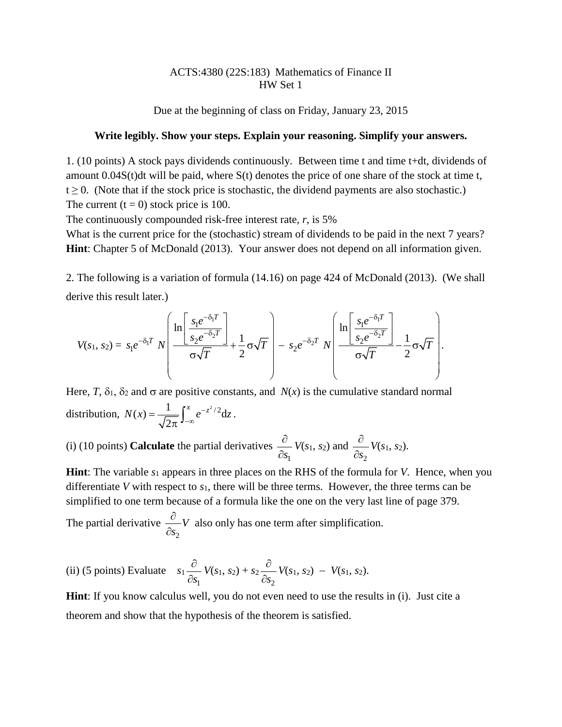# ACTS:4380 (22S:183) Mathematics of Finance II HW Set 1

Due at the beginning of class on Friday, January 23, 2015

## **Write legibly. Show your steps. Explain your reasoning. Simplify your answers.**

1. (10 points) A stock pays dividends continuously. Between time t and time t+dt, dividends of amount 0.04S(t)dt will be paid, where S(t) denotes the price of one share of the stock at time t,  $t \ge 0$ . (Note that if the stock price is stochastic, the dividend payments are also stochastic.) The current  $(t = 0)$  stock price is 100.

The continuously compounded risk-free interest rate, *r*, is 5%

What is the current price for the (stochastic) stream of dividends to be paid in the next 7 years? **Hint**: Chapter 5 of McDonald (2013). Your answer does not depend on all information given.

2. The following is a variation of formula (14.16) on page 424 of McDonald (2013). (We shall derive this result later.)

$$
V(s_1, s_2) = s_1 e^{-\delta_1 T} N \left( \frac{\ln \left[ \frac{s_1 e^{-\delta_1 T}}{s_2 e^{-\delta_2 T}} \right]}{\sigma \sqrt{T}} + \frac{1}{2} \sigma \sqrt{T} \right) - s_2 e^{-\delta_2 T} N \left( \frac{\ln \left[ \frac{s_1 e^{-\delta_1 T}}{s_2 e^{-\delta_2 T}} \right]}{\sigma \sqrt{T}} - \frac{1}{2} \sigma \sqrt{T} \right).
$$

Here, *T*,  $\delta_1$ ,  $\delta_2$  and  $\sigma$  are positive constants, and *N(x)* is the cumulative standard normal distribution,  $N(x) = \frac{1}{\sqrt{x}} \int_0^x e^{-z^2/2} dz$ 2  $N(x) = \frac{1}{\sqrt{2\pi}} \int_{-\infty}^{x} e^{-z^2/2} dz$ .

(i) (10 points) **Calculate** the partial derivatives 1*s* ∂ ∂ *V*(*s*1, *s*2) and 2*s* ∂ ∂ *V*(*s*1, *s*2).

**Hint**: The variable  $s_1$  appears in three places on the RHS of the formula for *V*. Hence, when you differentiate *V* with respect to *s*1, there will be three terms. However, the three terms can be simplified to one term because of a formula like the one on the very last line of page 379.

The partial derivative 2 *V s* ∂ ∂ also only has one term after simplification.

(ii) (5 points) Evaluate 
$$
s_1 \frac{\partial}{\partial s_1} V(s_1, s_2) + s_2 \frac{\partial}{\partial s_2} V(s_1, s_2) - V(s_1, s_2)
$$
.

**Hint**: If you know calculus well, you do not even need to use the results in (i). Just cite a theorem and show that the hypothesis of the theorem is satisfied.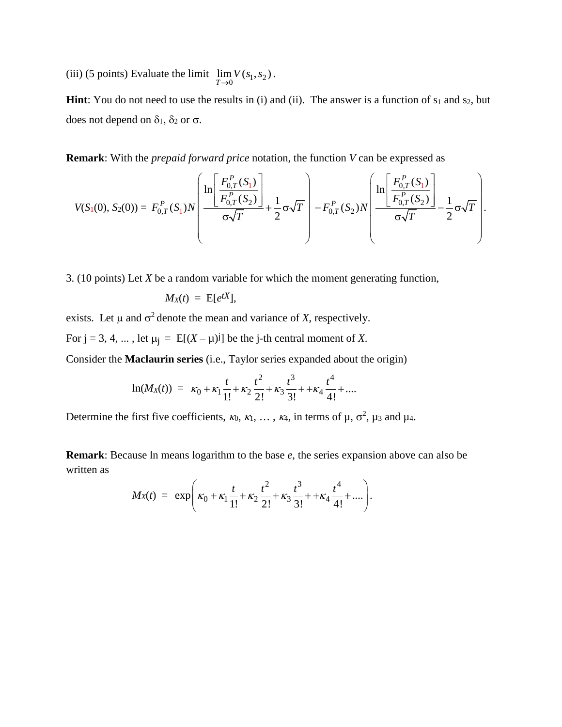(iii) (5 points) Evaluate the limit  $\lim_{T\to 0} V(s_1, s_2)$ .

**Hint**: You do not need to use the results in (i) and (ii). The answer is a function of  $s_1$  and  $s_2$ , but does not depend on  $δ_1$ ,  $δ_2$  or  $σ$ .

**Remark**: With the *prepaid forward price* notation, the function *V* can be expressed as

$$
V(S_1(0), S_2(0)) = F_{0,T}^P(S_1)N\left(\frac{\ln\left[\frac{F_{0,T}^P(S_1)}{F_{0,T}^P(S_2)}\right]}{\sigma\sqrt{T}} + \frac{1}{2}\sigma\sqrt{T}\right) - F_{0,T}^P(S_2)N\left(\frac{\ln\left[\frac{F_{0,T}^P(S_1)}{F_{0,T}^P(S_2)}\right]}{\sigma\sqrt{T}} - \frac{1}{2}\sigma\sqrt{T}\right).
$$

3. (10 points) Let *X* be a random variable for which the moment generating function,

$$
M_X(t) = \mathrm{E}[e^{tX}],
$$

exists. Let  $\mu$  and  $\sigma^2$  denote the mean and variance of *X*, respectively.

For  $j = 3, 4, ...$ , let  $\mu_j = E[(X - \mu)^j]$  be the j-th central moment of X.

Consider the **Maclaurin series** (i.e., Taylor series expanded about the origin)

$$
\ln(M_X(t)) = \kappa_0 + \kappa_1 \frac{t}{1!} + \kappa_2 \frac{t^2}{2!} + \kappa_3 \frac{t^3}{3!} + \kappa_4 \frac{t^4}{4!} + \dots
$$

Determine the first five coefficients,  $\kappa_0, \kappa_1, \ldots, \kappa_4$ , in terms of  $\mu, \sigma^2, \mu_3$  and  $\mu_4$ .

**Remark**: Because ln means logarithm to the base *e*, the series expansion above can also be written as

$$
M_X(t) = \exp\left(\kappa_0 + \kappa_1 \frac{t}{1!} + \kappa_2 \frac{t^2}{2!} + \kappa_3 \frac{t^3}{3!} + \kappa_4 \frac{t^4}{4!} + \dots\right).
$$